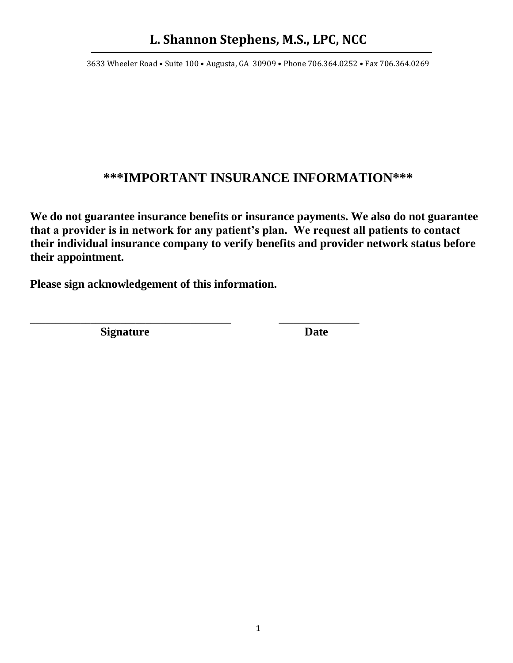3633 Wheeler Road • Suite 100 • Augusta, GA 30909 • Phone 706.364.0252 • Fax 706.364.0269

### **\*\*\*IMPORTANT INSURANCE INFORMATION\*\*\***

**We do not guarantee insurance benefits or insurance payments. We also do not guarantee that a provider is in network for any patient's plan. We request all patients to contact their individual insurance company to verify benefits and provider network status before their appointment.** 

**Please sign acknowledgement of this information.**

\_\_\_\_\_\_\_\_\_\_\_\_\_\_\_\_\_\_\_\_\_\_\_\_\_\_\_\_\_\_\_\_\_\_\_\_\_\_\_\_ \_\_\_\_\_\_\_\_\_\_\_\_\_\_\_\_

**Signature Date**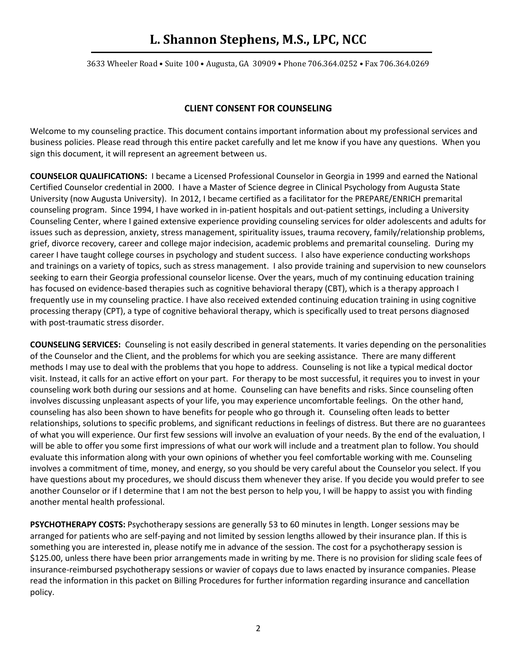3633 Wheeler Road • Suite 100 • Augusta, GA 30909 • Phone 706.364.0252 • Fax 706.364.0269

#### **CLIENT CONSENT FOR COUNSELING**

Welcome to my counseling practice. This document contains important information about my professional services and business policies. Please read through this entire packet carefully and let me know if you have any questions. When you sign this document, it will represent an agreement between us.

**COUNSELOR QUALIFICATIONS:** I became a Licensed Professional Counselor in Georgia in 1999 and earned the National Certified Counselor credential in 2000. I have a Master of Science degree in Clinical Psychology from Augusta State University (now Augusta University). In 2012, I became certified as a facilitator for the PREPARE/ENRICH premarital counseling program. Since 1994, I have worked in in-patient hospitals and out-patient settings, including a University Counseling Center, where I gained extensive experience providing counseling services for older adolescents and adults for issues such as depression, anxiety, stress management, spirituality issues, trauma recovery, family/relationship problems, grief, divorce recovery, career and college major indecision, academic problems and premarital counseling. During my career I have taught college courses in psychology and student success. I also have experience conducting workshops and trainings on a variety of topics, such as stress management. I also provide training and supervision to new counselors seeking to earn their Georgia professional counselor license. Over the years, much of my continuing education training has focused on evidence-based therapies such as cognitive behavioral therapy (CBT), which is a therapy approach I frequently use in my counseling practice. I have also received extended continuing education training in using cognitive processing therapy (CPT), a type of cognitive behavioral therapy, which is specifically used to treat persons diagnosed with post-traumatic stress disorder.

**COUNSELING SERVICES:** Counseling is not easily described in general statements. It varies depending on the personalities of the Counselor and the Client, and the problems for which you are seeking assistance. There are many different methods I may use to deal with the problems that you hope to address. Counseling is not like a typical medical doctor visit. Instead, it calls for an active effort on your part. For therapy to be most successful, it requires you to invest in your counseling work both during our sessions and at home. Counseling can have benefits and risks. Since counseling often involves discussing unpleasant aspects of your life, you may experience uncomfortable feelings. On the other hand, counseling has also been shown to have benefits for people who go through it. Counseling often leads to better relationships, solutions to specific problems, and significant reductions in feelings of distress. But there are no guarantees of what you will experience. Our first few sessions will involve an evaluation of your needs. By the end of the evaluation, I will be able to offer you some first impressions of what our work will include and a treatment plan to follow. You should evaluate this information along with your own opinions of whether you feel comfortable working with me. Counseling involves a commitment of time, money, and energy, so you should be very careful about the Counselor you select. If you have questions about my procedures, we should discuss them whenever they arise. If you decide you would prefer to see another Counselor or if I determine that I am not the best person to help you, I will be happy to assist you with finding another mental health professional.

**PSYCHOTHERAPY COSTS:** Psychotherapy sessions are generally 53 to 60 minutes in length. Longer sessions may be arranged for patients who are self-paying and not limited by session lengths allowed by their insurance plan. If this is something you are interested in, please notify me in advance of the session. The cost for a psychotherapy session is \$125.00, unless there have been prior arrangements made in writing by me. There is no provision for sliding scale fees of insurance-reimbursed psychotherapy sessions or wavier of copays due to laws enacted by insurance companies. Please read the information in this packet on Billing Procedures for further information regarding insurance and cancellation policy.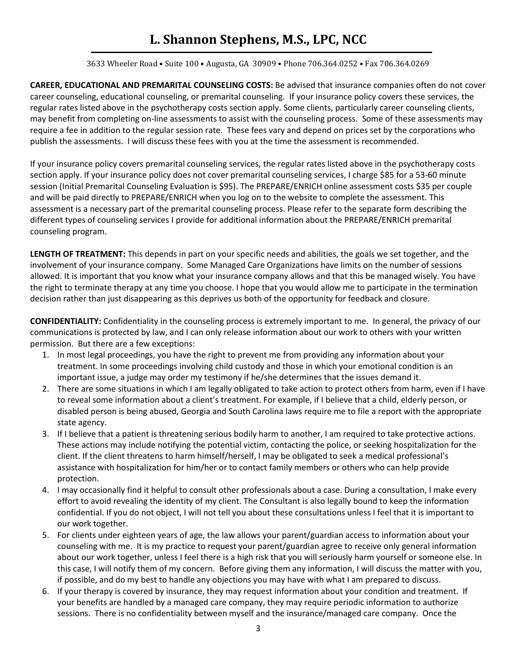3633 Wheeler Road • Suite 100 • Augusta, GA 30909 • Phone 706.364.0252 • Fax 706.364.0269

**CAREER, EDUCATIONAL AND PREMARITAL COUNSELING COSTS:** Be advised that insurance companies often do not cover career counseling, educational counseling, or premarital counseling. If your insurance policy covers these services, the regular rates listed above in the psychotherapy costs section apply. Some clients, particularly career counseling clients, may benefit from completing on-line assessments to assist with the counseling process. Some of these assessments may require a fee in addition to the regular session rate. These fees vary and depend on prices set by the corporations who publish the assessments. I will discuss these fees with you at the time the assessment is recommended.

If your insurance policy covers premarital counseling services, the regular rates listed above in the psychotherapy costs section apply. If your insurance policy does not cover premarital counseling services, I charge \$85 for a 53-60 minute session (Initial Premarital Counseling Evaluation is \$95). The PREPARE/ENRICH online assessment costs \$35 per couple and will be paid directly to PREPARE/ENRICH when you log on to the website to complete the assessment. This assessment is a necessary part of the premarital counseling process. Please refer to the separate form describing the different types of counseling services I provide for additional information about the PREPARE/ENRICH premarital counseling program.

**LENGTH OF TREATMENT:** This depends in part on your specific needs and abilities, the goals we set together, and the involvement of your insurance company. Some Managed Care Organizations have limits on the number of sessions allowed. It is important that you know what your insurance company allows and that this be managed wisely. You have the right to terminate therapy at any time you choose. I hope that you would allow me to participate in the termination decision rather than just disappearing as this deprives us both of the opportunity for feedback and closure.

**CONFIDENTIALITY:** Confidentiality in the counseling process is extremely important to me. In general, the privacy of our communications is protected by law, and I can only release information about our work to others with your written permission. But there are a few exceptions:

- 1. In most legal proceedings, you have the right to prevent me from providing any information about your treatment. In some proceedings involving child custody and those in which your emotional condition is an important issue, a judge may order my testimony if he/she determines that the issues demand it.
- 2. There are some situations in which I am legally obligated to take action to protect others from harm, even if I have to reveal some information about a client's treatment. For example, if I believe that a child, elderly person, or disabled person is being abused, Georgia and South Carolina laws require me to file a report with the appropriate state agency.
- 3. If I believe that a patient is threatening serious bodily harm to another, I am required to take protective actions. These actions may include notifying the potential victim, contacting the police, or seeking hospitalization for the client. If the client threatens to harm himself/herself, I may be obligated to seek a medical professional's assistance with hospitalization for him/her or to contact family members or others who can help provide protection.
- 4. I may occasionally find it helpful to consult other professionals about a case. During a consultation, I make every effort to avoid revealing the identity of my client. The Consultant is also legally bound to keep the information confidential. If you do not object, I will not tell you about these consultations unless I feel that it is important to our work together.
- 5. For clients under eighteen years of age, the law allows your parent/guardian access to information about your counseling with me. It is my practice to request your parent/guardian agree to receive only general information about our work together, unless I feel there is a high risk that you will seriously harm yourself or someone else. In this case, I will notify them of my concern. Before giving them any information, I will discuss the matter with you, if possible, and do my best to handle any objections you may have with what I am prepared to discuss.
- 6. If your therapy is covered by insurance, they may request information about your condition and treatment. If your benefits are handled by a managed care company, they may require periodic information to authorize sessions. There is no confidentiality between myself and the insurance/managed care company. Once the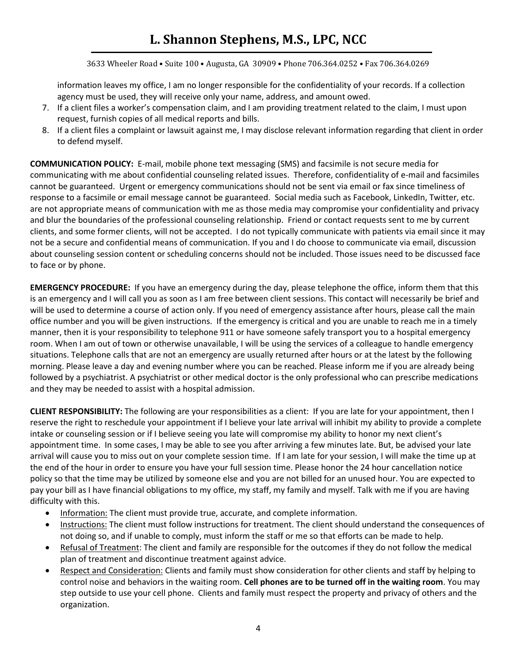3633 Wheeler Road • Suite 100 • Augusta, GA 30909 • Phone 706.364.0252 • Fax 706.364.0269

information leaves my office, I am no longer responsible for the confidentiality of your records. If a collection agency must be used, they will receive only your name, address, and amount owed.

- 7. If a client files a worker's compensation claim, and I am providing treatment related to the claim, I must upon request, furnish copies of all medical reports and bills.
- 8. If a client files a complaint or lawsuit against me, I may disclose relevant information regarding that client in order to defend myself.

**COMMUNICATION POLICY:** E-mail, mobile phone text messaging (SMS) and facsimile is not secure media for communicating with me about confidential counseling related issues. Therefore, confidentiality of e-mail and facsimiles cannot be guaranteed. Urgent or emergency communications should not be sent via email or fax since timeliness of response to a facsimile or email message cannot be guaranteed. Social media such as Facebook, LinkedIn, Twitter, etc. are not appropriate means of communication with me as those media may compromise your confidentiality and privacy and blur the boundaries of the professional counseling relationship. Friend or contact requests sent to me by current clients, and some former clients, will not be accepted. I do not typically communicate with patients via email since it may not be a secure and confidential means of communication. If you and I do choose to communicate via email, discussion about counseling session content or scheduling concerns should not be included. Those issues need to be discussed face to face or by phone.

**EMERGENCY PROCEDURE:** If you have an emergency during the day, please telephone the office, inform them that this is an emergency and I will call you as soon as I am free between client sessions. This contact will necessarily be brief and will be used to determine a course of action only. If you need of emergency assistance after hours, please call the main office number and you will be given instructions. If the emergency is critical and you are unable to reach me in a timely manner, then it is your responsibility to telephone 911 or have someone safely transport you to a hospital emergency room. When I am out of town or otherwise unavailable, I will be using the services of a colleague to handle emergency situations. Telephone calls that are not an emergency are usually returned after hours or at the latest by the following morning. Please leave a day and evening number where you can be reached. Please inform me if you are already being followed by a psychiatrist. A psychiatrist or other medical doctor is the only professional who can prescribe medications and they may be needed to assist with a hospital admission.

**CLIENT RESPONSIBILITY:** The following are your responsibilities as a client: If you are late for your appointment, then I reserve the right to reschedule your appointment if I believe your late arrival will inhibit my ability to provide a complete intake or counseling session or if I believe seeing you late will compromise my ability to honor my next client's appointment time. In some cases, I may be able to see you after arriving a few minutes late. But, be advised your late arrival will cause you to miss out on your complete session time. If I am late for your session, I will make the time up at the end of the hour in order to ensure you have your full session time. Please honor the 24 hour cancellation notice policy so that the time may be utilized by someone else and you are not billed for an unused hour. You are expected to pay your bill as I have financial obligations to my office, my staff, my family and myself. Talk with me if you are having difficulty with this.

- Information: The client must provide true, accurate, and complete information.
- Instructions: The client must follow instructions for treatment. The client should understand the consequences of not doing so, and if unable to comply, must inform the staff or me so that efforts can be made to help.
- Refusal of Treatment: The client and family are responsible for the outcomes if they do not follow the medical plan of treatment and discontinue treatment against advice.
- Respect and Consideration: Clients and family must show consideration for other clients and staff by helping to control noise and behaviors in the waiting room. **Cell phones are to be turned off in the waiting room**. You may step outside to use your cell phone. Clients and family must respect the property and privacy of others and the organization.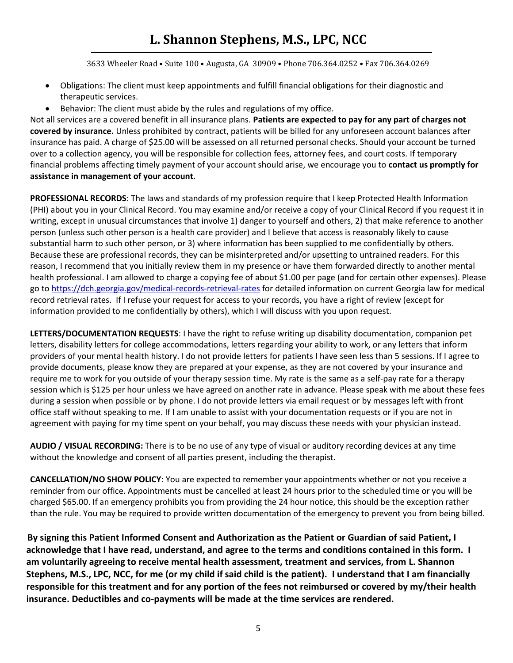3633 Wheeler Road • Suite 100 • Augusta, GA 30909 • Phone 706.364.0252 • Fax 706.364.0269

- Obligations: The client must keep appointments and fulfill financial obligations for their diagnostic and therapeutic services.
- Behavior: The client must abide by the rules and regulations of my office.

Not all services are a covered benefit in all insurance plans. **Patients are expected to pay for any part of charges not covered by insurance.** Unless prohibited by contract, patients will be billed for any unforeseen account balances after insurance has paid. A charge of \$25.00 will be assessed on all returned personal checks. Should your account be turned over to a collection agency, you will be responsible for collection fees, attorney fees, and court costs. If temporary financial problems affecting timely payment of your account should arise, we encourage you to **contact us promptly for assistance in management of your account**.

**PROFESSIONAL RECORDS**: The laws and standards of my profession require that I keep Protected Health Information (PHI) about you in your Clinical Record. You may examine and/or receive a copy of your Clinical Record if you request it in writing, except in unusual circumstances that involve 1) danger to yourself and others, 2) that make reference to another person (unless such other person is a health care provider) and I believe that access is reasonably likely to cause substantial harm to such other person, or 3) where information has been supplied to me confidentially by others. Because these are professional records, they can be misinterpreted and/or upsetting to untrained readers. For this reason, I recommend that you initially review them in my presence or have them forwarded directly to another mental health professional. I am allowed to charge a copying fee of about \$1.00 per page (and for certain other expenses). Please go to [https://dch.georgia.gov/medical-records-retrieval-rates](about:blank) for detailed information on current Georgia law for medical record retrieval rates. If I refuse your request for access to your records, you have a right of review (except for information provided to me confidentially by others), which I will discuss with you upon request.

**LETTERS/DOCUMENTATION REQUESTS**: I have the right to refuse writing up disability documentation, companion pet letters, disability letters for college accommodations, letters regarding your ability to work, or any letters that inform providers of your mental health history. I do not provide letters for patients I have seen less than 5 sessions. If I agree to provide documents, please know they are prepared at your expense, as they are not covered by your insurance and require me to work for you outside of your therapy session time. My rate is the same as a self-pay rate for a therapy session which is \$125 per hour unless we have agreed on another rate in advance. Please speak with me about these fees during a session when possible or by phone. I do not provide letters via email request or by messages left with front office staff without speaking to me. If I am unable to assist with your documentation requests or if you are not in agreement with paying for my time spent on your behalf, you may discuss these needs with your physician instead.

**AUDIO / VISUAL RECORDING:** There is to be no use of any type of visual or auditory recording devices at any time without the knowledge and consent of all parties present, including the therapist.

**CANCELLATION/NO SHOW POLICY**: You are expected to remember your appointments whether or not you receive a reminder from our office. Appointments must be cancelled at least 24 hours prior to the scheduled time or you will be charged \$65.00. If an emergency prohibits you from providing the 24 hour notice, this should be the exception rather than the rule. You may be required to provide written documentation of the emergency to prevent you from being billed.

 **By signing this Patient Informed Consent and Authorization as the Patient or Guardian of said Patient, I acknowledge that I have read, understand, and agree to the terms and conditions contained in this form. I am voluntarily agreeing to receive mental health assessment, treatment and services, from L. Shannon Stephens, M.S., LPC, NCC, for me (or my child if said child is the patient). I understand that I am financially responsible for this treatment and for any portion of the fees not reimbursed or covered by my/their health insurance. Deductibles and co-payments will be made at the time services are rendered.**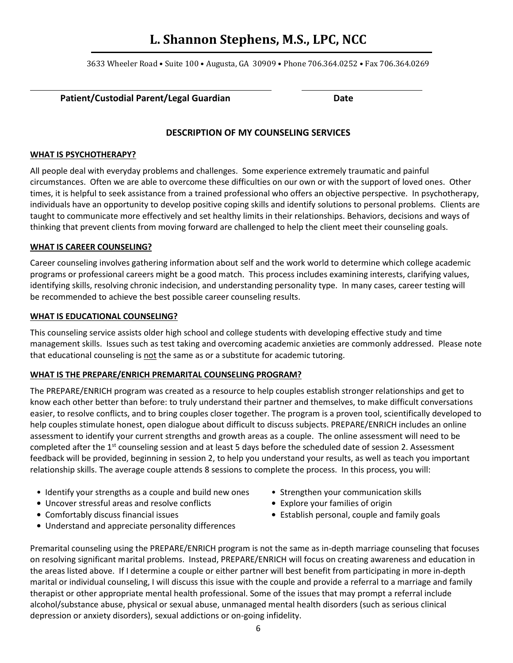3633 Wheeler Road • Suite 100 • Augusta, GA 30909 • Phone 706.364.0252 • Fax 706.364.0269

#### Patient/Custodial Parent/Legal Guardian **Date**

#### **DESCRIPTION OF MY COUNSELING SERVICES**

#### **WHAT IS PSYCHOTHERAPY?**

All people deal with everyday problems and challenges. Some experience extremely traumatic and painful circumstances. Often we are able to overcome these difficulties on our own or with the support of loved ones. Other times, it is helpful to seek assistance from a trained professional who offers an objective perspective. In psychotherapy, individuals have an opportunity to develop positive coping skills and identify solutions to personal problems. Clients are taught to communicate more effectively and set healthy limits in their relationships. Behaviors, decisions and ways of thinking that prevent clients from moving forward are challenged to help the client meet their counseling goals.

#### **WHAT IS CAREER COUNSELING?**

Career counseling involves gathering information about self and the work world to determine which college academic programs or professional careers might be a good match. This process includes examining interests, clarifying values, identifying skills, resolving chronic indecision, and understanding personality type. In many cases, career testing will be recommended to achieve the best possible career counseling results.

#### **WHAT IS EDUCATIONAL COUNSELING?**

This counseling service assists older high school and college students with developing effective study and time management skills. Issues such as test taking and overcoming academic anxieties are commonly addressed. Please note that educational counseling is not the same as or a substitute for academic tutoring.

#### **WHAT IS THE PREPARE/ENRICH PREMARITAL COUNSELING PROGRAM?**

The PREPARE/ENRICH program was created as a resource to help couples establish stronger relationships and get to know each other better than before: to truly understand their partner and themselves, to make difficult conversations easier, to resolve conflicts, and to bring couples closer together. The program is a proven tool, scientifically developed to help couples stimulate honest, open dialogue about difficult to discuss subjects. PREPARE/ENRICH includes an online assessment to identify your current strengths and growth areas as a couple. The online assessment will need to be completed after the 1<sup>st</sup> counseling session and at least 5 days before the scheduled date of session 2. Assessment feedback will be provided, beginning in session 2, to help you understand your results, as well as teach you important relationship skills. The average couple attends 8 sessions to complete the process. In this process, you will:

- Identify your strengths as a couple and build new ones Strengthen your communication skills
- Uncover stressful areas and resolve conflicts Explore your families of origin
- 
- Understand and appreciate personality differences
- 
- 
- Comfortably discuss financial issues Establish personal, couple and family goals

Premarital counseling using the PREPARE/ENRICH program is not the same as in-depth marriage counseling that focuses on resolving significant marital problems. Instead, PREPARE/ENRICH will focus on creating awareness and education in the areas listed above.If I determine a couple or either partner will best benefit from participating in more in-depth marital or individual counseling, I will discuss this issue with the couple and provide a referral to a marriage and family therapist or other appropriate mental health professional. Some of the issues that may prompt a referral include alcohol/substance abuse, physical or sexual abuse, unmanaged mental health disorders (such as serious clinical depression or anxiety disorders), sexual addictions or on-going infidelity.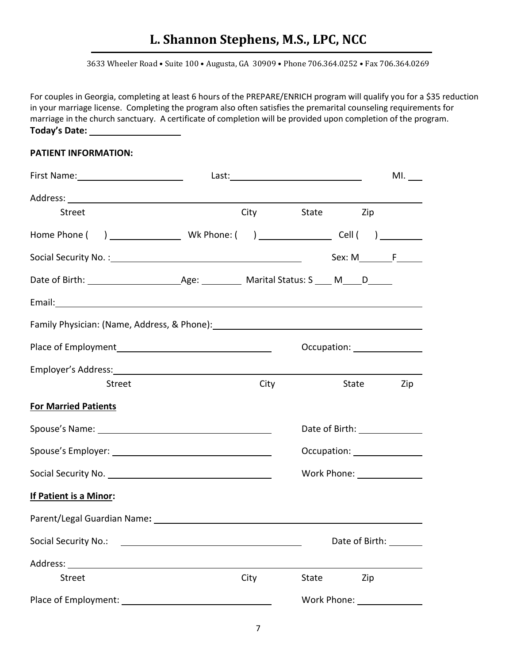3633 Wheeler Road • Suite 100 • Augusta, GA 30909 • Phone 706.364.0252 • Fax 706.364.0269

For couples in Georgia, completing at least 6 hours of the PREPARE/ENRICH program will qualify you for a \$35 reduction in your marriage license. Completing the program also often satisfies the premarital counseling requirements for marriage in the church sanctuary. A certificate of completion will be provided upon completion of the program. **Today's Date:** 

#### **PATIENT INFORMATION:**

|                                                                                                                                                                                                                                |      |       |                                           | $ML$ <sub>___</sub> |
|--------------------------------------------------------------------------------------------------------------------------------------------------------------------------------------------------------------------------------|------|-------|-------------------------------------------|---------------------|
|                                                                                                                                                                                                                                |      |       |                                           |                     |
| <b>Street</b>                                                                                                                                                                                                                  |      |       | City State Zip                            |                     |
|                                                                                                                                                                                                                                |      |       |                                           |                     |
|                                                                                                                                                                                                                                |      |       |                                           |                     |
|                                                                                                                                                                                                                                |      |       |                                           |                     |
| Email: Note and the second contract of the second contract of the second contract of the second contract of the second contract of the second contract of the second contract of the second contract of the second contract of |      |       |                                           |                     |
| Family Physician: (Name, Address, & Phone): [2012] [2013] [2013] [2013] [2014] [2014] [2014] [2014] [2014] [20                                                                                                                 |      |       |                                           |                     |
|                                                                                                                                                                                                                                |      |       | Occupation: <u>______________________</u> |                     |
| Employer's Address: Universe of the Contract of the Contract of the Contract of the Contract of the Contract of the Contract of the Contract of the Contract of the Contract of the Contract of the Contract of the Contract o |      |       |                                           |                     |
| <b>Street</b>                                                                                                                                                                                                                  | City |       | State Zip                                 |                     |
| <b>For Married Patients</b>                                                                                                                                                                                                    |      |       |                                           |                     |
|                                                                                                                                                                                                                                |      |       | Date of Birth: 1990 1990                  |                     |
|                                                                                                                                                                                                                                |      |       | Occupation: ________________              |                     |
|                                                                                                                                                                                                                                |      |       | Work Phone: _______________               |                     |
| If Patient is a Minor:                                                                                                                                                                                                         |      |       |                                           |                     |
|                                                                                                                                                                                                                                |      |       |                                           |                     |
| Social Security No.:                                                                                                                                                                                                           |      |       | Date of Birth:                            |                     |
| Address:                                                                                                                                                                                                                       |      |       |                                           |                     |
| <b>Street</b>                                                                                                                                                                                                                  | City | State | Zip                                       |                     |
| Place of Employment: Note that the property of the property of the property of the property of the property of the property of the property of the property of the property of the property of the property of the property of |      |       | Work Phone: North Monte                   |                     |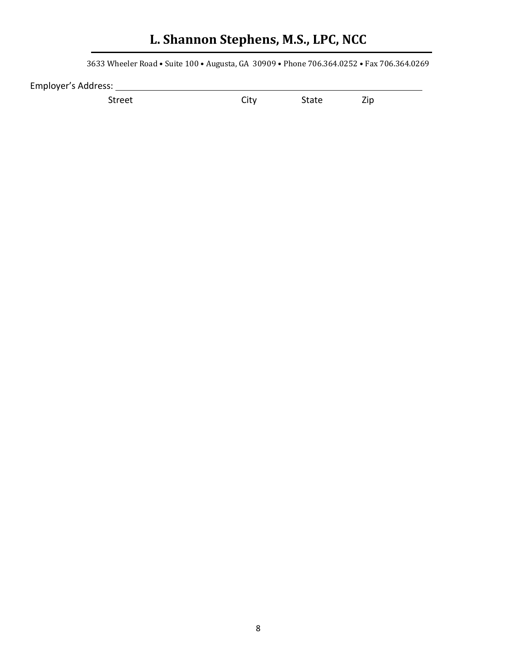3633 Wheeler Road • Suite 100 • Augusta, GA 30909 • Phone 706.364.0252 • Fax 706.364.0269

Employer's Address:

Street City State Zip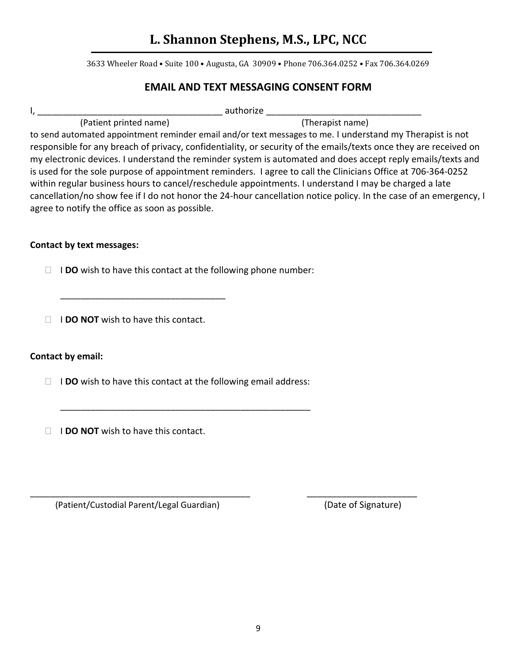3633 Wheeler Road • Suite 100 • Augusta, GA 30909 • Phone 706.364.0252 • Fax 706.364.0269

### **EMAIL AND TEXT MESSAGING CONSENT FORM**

| . . | authorize |
|-----|-----------|
|     |           |

(Patient printed name) (Therapist name)

to send automated appointment reminder email and/or text messages to me. I understand my Therapist is not responsible for any breach of privacy, confidentiality, or security of the emails/texts once they are received on my electronic devices. I understand the reminder system is automated and does accept reply emails/texts and is used for the sole purpose of appointment reminders. I agree to call the Clinicians Office at 706-364-0252 within regular business hours to cancel/reschedule appointments. I understand I may be charged a late cancellation/no show fee if I do not honor the 24-hour cancellation notice policy. In the case of an emergency, I agree to notify the office as soon as possible.

### **Contact by text messages:**

I **DO** wish to have this contact at the following phone number:

**I I DO NOT** wish to have this contact.

\_\_\_\_\_\_\_\_\_\_\_\_\_\_\_\_\_\_\_\_\_\_\_\_\_\_\_\_\_\_\_\_\_

### **Contact by email:**

□ **IDO** wish to have this contact at the following email address:

\_\_\_\_\_\_\_\_\_\_\_\_\_\_\_\_\_\_\_\_\_\_\_\_\_\_\_\_\_\_\_\_\_\_\_\_\_\_\_\_\_\_\_\_\_\_\_\_\_\_

\_\_\_\_\_\_\_\_\_\_\_\_\_\_\_\_\_\_\_\_\_\_\_\_\_\_\_\_\_\_\_\_\_\_\_\_\_\_\_\_\_\_\_\_ \_\_\_\_\_\_\_\_\_\_\_\_\_\_\_\_\_\_\_\_\_\_

**I I DO NOT** wish to have this contact.

(Patient/Custodial Parent/Legal Guardian) (Date of Signature)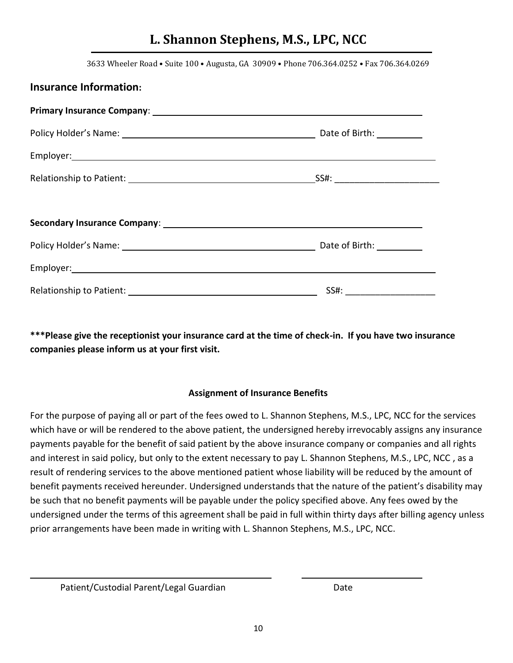3633 Wheeler Road • Suite 100 • Augusta, GA 30909 • Phone 706.364.0252 • Fax 706.364.0269

| <b>Insurance Information:</b> |                            |
|-------------------------------|----------------------------|
|                               |                            |
|                               |                            |
|                               |                            |
|                               |                            |
|                               |                            |
|                               |                            |
|                               |                            |
|                               |                            |
|                               | SS#: _____________________ |

**\*\*\*Please give the receptionist your insurance card at the time of check-in. If you have two insurance companies please inform us at your first visit.**

### **Assignment of Insurance Benefits**

For the purpose of paying all or part of the fees owed to L. Shannon Stephens, M.S., LPC, NCC for the services which have or will be rendered to the above patient, the undersigned hereby irrevocably assigns any insurance payments payable for the benefit of said patient by the above insurance company or companies and all rights and interest in said policy, but only to the extent necessary to pay L. Shannon Stephens, M.S., LPC, NCC , as a result of rendering services to the above mentioned patient whose liability will be reduced by the amount of benefit payments received hereunder. Undersigned understands that the nature of the patient's disability may be such that no benefit payments will be payable under the policy specified above. Any fees owed by the undersigned under the terms of this agreement shall be paid in full within thirty days after billing agency unless prior arrangements have been made in writing with L. Shannon Stephens, M.S., LPC, NCC.

Patient/Custodial Parent/Legal Guardian Date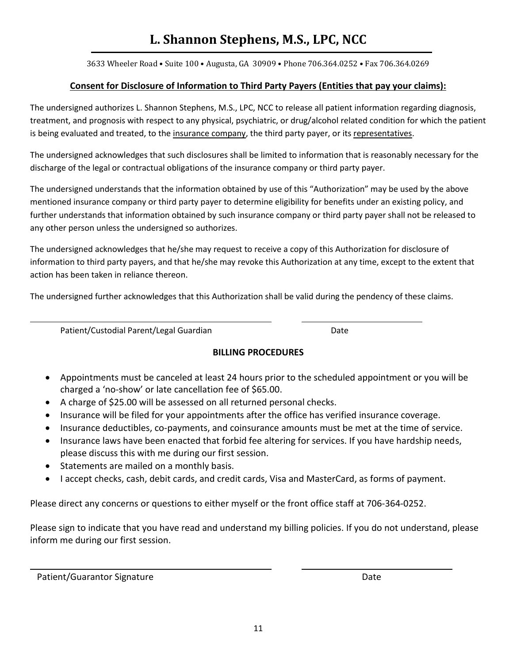3633 Wheeler Road • Suite 100 • Augusta, GA 30909 • Phone 706.364.0252 • Fax 706.364.0269

### **Consent for Disclosure of Information to Third Party Payers (Entities that pay your claims):**

The undersigned authorizes L. Shannon Stephens, M.S., LPC, NCC to release all patient information regarding diagnosis, treatment, and prognosis with respect to any physical, psychiatric, or drug/alcohol related condition for which the patient is being evaluated and treated, to the insurance company, the third party payer, or its representatives.

The undersigned acknowledges that such disclosures shall be limited to information that is reasonably necessary for the discharge of the legal or contractual obligations of the insurance company or third party payer.

The undersigned understands that the information obtained by use of this "Authorization" may be used by the above mentioned insurance company or third party payer to determine eligibility for benefits under an existing policy, and further understands that information obtained by such insurance company or third party payer shall not be released to any other person unless the undersigned so authorizes.

The undersigned acknowledges that he/she may request to receive a copy of this Authorization for disclosure of information to third party payers, and that he/she may revoke this Authorization at any time, except to the extent that action has been taken in reliance thereon.

The undersigned further acknowledges that this Authorization shall be valid during the pendency of these claims.

Patient/Custodial Parent/Legal Guardian Date

### **BILLING PROCEDURES**

- Appointments must be canceled at least 24 hours prior to the scheduled appointment or you will be charged a 'no-show' or late cancellation fee of \$65.00.
- A charge of \$25.00 will be assessed on all returned personal checks.
- Insurance will be filed for your appointments after the office has verified insurance coverage.
- Insurance deductibles, co-payments, and coinsurance amounts must be met at the time of service.
- Insurance laws have been enacted that forbid fee altering for services. If you have hardship needs, please discuss this with me during our first session.
- Statements are mailed on a monthly basis.
- I accept checks, cash, debit cards, and credit cards, Visa and MasterCard, as forms of payment.

Please direct any concerns or questions to either myself or the front office staff at 706-364-0252.

Please sign to indicate that you have read and understand my billing policies. If you do not understand, please inform me during our first session.

Patient/Guarantor Signature **Date of Australian Control** Date Date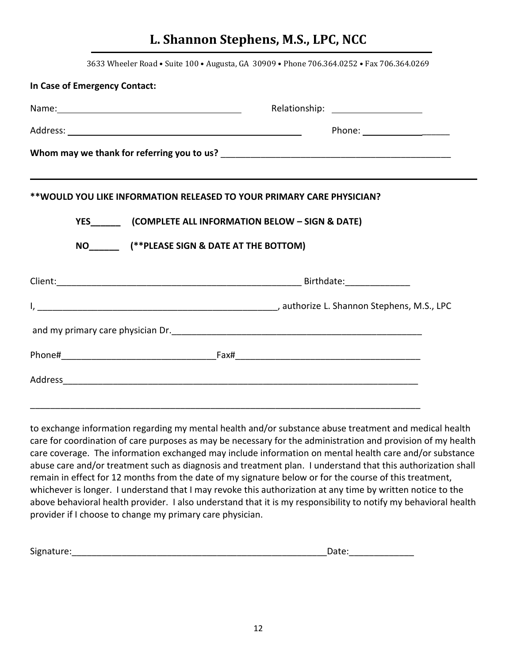| 3633 Wheeler Road . Suite 100 . Augusta, GA 30909 . Phone 706.364.0252 . Fax 706.364.0269 |
|-------------------------------------------------------------------------------------------|
| In Case of Emergency Contact:                                                             |
| Relationship: ______________________                                                      |
| Phone: _______________________                                                            |
|                                                                                           |
|                                                                                           |
| **WOULD YOU LIKE INFORMATION RELEASED TO YOUR PRIMARY CARE PHYSICIAN?                     |
|                                                                                           |
|                                                                                           |
| NO (**PLEASE SIGN & DATE AT THE BOTTOM)                                                   |
|                                                                                           |
|                                                                                           |
|                                                                                           |
|                                                                                           |
|                                                                                           |
|                                                                                           |
|                                                                                           |
|                                                                                           |
|                                                                                           |

to exchange information regarding my mental health and/or substance abuse treatment and medical health care for coordination of care purposes as may be necessary for the administration and provision of my health care coverage. The information exchanged may include information on mental health care and/or substance abuse care and/or treatment such as diagnosis and treatment plan. I understand that this authorization shall remain in effect for 12 months from the date of my signature below or for the course of this treatment, whichever is longer. I understand that I may revoke this authorization at any time by written notice to the above behavioral health provider. I also understand that it is my responsibility to notify my behavioral health provider if I choose to change my primary care physician.

| <u>.</u><br>512<br>- - |  |
|------------------------|--|
|                        |  |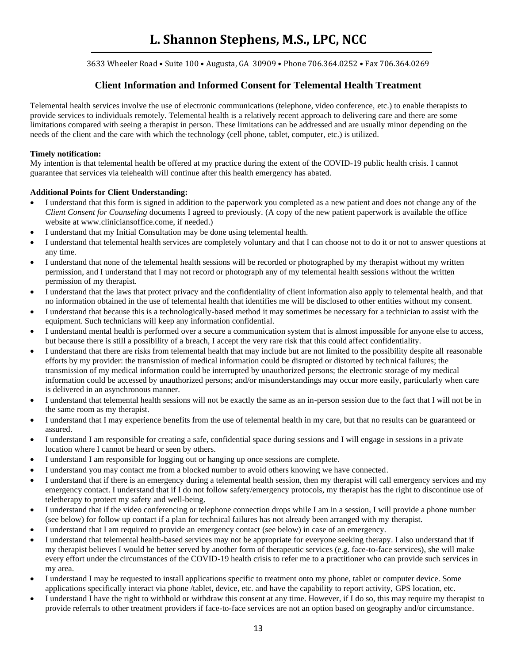3633 Wheeler Road • Suite 100 • Augusta, GA 30909 • Phone 706.364.0252 • Fax 706.364.0269

### **Client Information and Informed Consent for Telemental Health Treatment**

Telemental health services involve the use of electronic communications (telephone, video conference, etc.) to enable therapists to provide services to individuals remotely. Telemental health is a relatively recent approach to delivering care and there are some limitations compared with seeing a therapist in person. These limitations can be addressed and are usually minor depending on the needs of the client and the care with which the technology (cell phone, tablet, computer, etc.) is utilized.

#### **Timely notification:**

My intention is that telemental health be offered at my practice during the extent of the COVID-19 public health crisis. I cannot guarantee that services via telehealth will continue after this health emergency has abated.

#### **Additional Points for Client Understanding:**

- I understand that this form is signed in addition to the paperwork you completed as a new patient and does not change any of the *Client Consent for Counseling* documents I agreed to previously. (A copy of the new patient paperwork is available the office website at www.cliniciansoffice.come, if needed.)
- I understand that my Initial Consultation may be done using telemental health.
- I understand that telemental health services are completely voluntary and that I can choose not to do it or not to answer questions at any time.
- I understand that none of the telemental health sessions will be recorded or photographed by my therapist without my written permission, and I understand that I may not record or photograph any of my telemental health sessions without the written permission of my therapist.
- I understand that the laws that protect privacy and the confidentiality of client information also apply to telemental health, and that no information obtained in the use of telemental health that identifies me will be disclosed to other entities without my consent.
- I understand that because this is a technologically-based method it may sometimes be necessary for a technician to assist with the equipment. Such technicians will keep any information confidential.
- I understand mental health is performed over a secure a communication system that is almost impossible for anyone else to access, but because there is still a possibility of a breach, I accept the very rare risk that this could affect confidentiality.
- I understand that there are risks from telemental health that may include but are not limited to the possibility despite all reasonable efforts by my provider: the transmission of medical information could be disrupted or distorted by technical failures; the transmission of my medical information could be interrupted by unauthorized persons; the electronic storage of my medical information could be accessed by unauthorized persons; and/or misunderstandings may occur more easily, particularly when care is delivered in an asynchronous manner.
- I understand that telemental health sessions will not be exactly the same as an in-person session due to the fact that I will not be in the same room as my therapist.
- I understand that I may experience benefits from the use of telemental health in my care, but that no results can be guaranteed or assured.
- I understand I am responsible for creating a safe, confidential space during sessions and I will engage in sessions in a private location where I cannot be heard or seen by others.
- I understand I am responsible for logging out or hanging up once sessions are complete.
- I understand you may contact me from a blocked number to avoid others knowing we have connected.
- I understand that if there is an emergency during a telemental health session, then my therapist will call emergency services and my emergency contact. I understand that if I do not follow safety/emergency protocols, my therapist has the right to discontinue use of teletherapy to protect my safety and well-being.
- I understand that if the video conferencing or telephone connection drops while I am in a session, I will provide a phone number (see below) for follow up contact if a plan for technical failures has not already been arranged with my therapist.
- I understand that I am required to provide an emergency contact (see below) in case of an emergency.
- I understand that telemental health-based services may not be appropriate for everyone seeking therapy. I also understand that if my therapist believes I would be better served by another form of therapeutic services (e.g. face-to-face services), she will make every effort under the circumstances of the COVID-19 health crisis to refer me to a practitioner who can provide such services in my area.
- I understand I may be requested to install applications specific to treatment onto my phone, tablet or computer device. Some applications specifically interact via phone /tablet, device, etc. and have the capability to report activity, GPS location, etc.
- I understand I have the right to withhold or withdraw this consent at any time. However, if I do so, this may require my therapist to provide referrals to other treatment providers if face-to-face services are not an option based on geography and/or circumstance.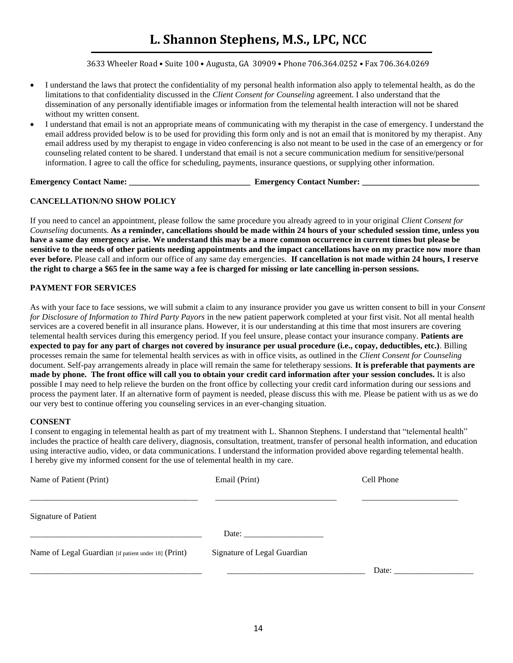3633 Wheeler Road • Suite 100 • Augusta, GA 30909 • Phone 706.364.0252 • Fax 706.364.0269

- I understand the laws that protect the confidentiality of my personal health information also apply to telemental health, as do the limitations to that confidentiality discussed in the *Client Consent for Counseling* agreement. I also understand that the dissemination of any personally identifiable images or information from the telemental health interaction will not be shared without my written consent.
- I understand that email is not an appropriate means of communicating with my therapist in the case of emergency. I understand the email address provided below is to be used for providing this form only and is not an email that is monitored by my therapist. Any email address used by my therapist to engage in video conferencing is also not meant to be used in the case of an emergency or for counseling related content to be shared. I understand that email is not a secure communication medium for sensitive/personal information. I agree to call the office for scheduling, payments, insurance questions, or supplying other information.

**Emergency Contact Name: Emergency Contact Number: Emergency Contact Number:**  $\blacksquare$ 

#### **CANCELLATION/NO SHOW POLICY**

If you need to cancel an appointment, please follow the same procedure you already agreed to in your original *Client Consent for Counseling* documents. **As a reminder, cancellations should be made within 24 hours of your scheduled session time, unless you have a same day emergency arise. We understand this may be a more common occurrence in current times but please be sensitive to the needs of other patients needing appointments and the impact cancellations have on my practice now more than ever before.** Please call and inform our office of any same day emergencies. **If cancellation is not made within 24 hours, I reserve the right to charge a \$65 fee in the same way a fee is charged for missing or late cancelling in-person sessions.** 

#### **PAYMENT FOR SERVICES**

As with your face to face sessions, we will submit a claim to any insurance provider you gave us written consent to bill in your *Consent for Disclosure of Information to Third Party Payors* in the new patient paperwork completed at your first visit. Not all mental health services are a covered benefit in all insurance plans. However, it is our understanding at this time that most insurers are covering telemental health services during this emergency period. If you feel unsure, please contact your insurance company. **Patients are expected to pay for any part of charges not covered by insurance per usual procedure (i.e., copay, deductibles, etc.)**. Billing processes remain the same for telemental health services as with in office visits, as outlined in the *Client Consent for Counseling* document. Self-pay arrangements already in place will remain the same for teletherapy sessions. **It is preferable that payments are made by phone. The front office will call you to obtain your credit card information after your session concludes.** It is also possible I may need to help relieve the burden on the front office by collecting your credit card information during our sessions and process the payment later. If an alternative form of payment is needed, please discuss this with me. Please be patient with us as we do our very best to continue offering you counseling services in an ever-changing situation.

#### **CONSENT**

I consent to engaging in telemental health as part of my treatment with L. Shannon Stephens. I understand that "telemental health" includes the practice of health care delivery, diagnosis, consultation, treatment, transfer of personal health information, and education using interactive audio, video, or data communications. I understand the information provided above regarding telemental health. I hereby give my informed consent for the use of telemental health in my care.

| Name of Patient (Print)                              | Email (Print)                                                                                                                                                                                                                  | Cell Phone |  |  |
|------------------------------------------------------|--------------------------------------------------------------------------------------------------------------------------------------------------------------------------------------------------------------------------------|------------|--|--|
| <b>Signature of Patient</b>                          |                                                                                                                                                                                                                                |            |  |  |
|                                                      | Date: the contract of the contract of the contract of the contract of the contract of the contract of the contract of the contract of the contract of the contract of the contract of the contract of the contract of the cont |            |  |  |
| Name of Legal Guardian [if patient under 18] (Print) | Signature of Legal Guardian                                                                                                                                                                                                    |            |  |  |
|                                                      |                                                                                                                                                                                                                                | Date:      |  |  |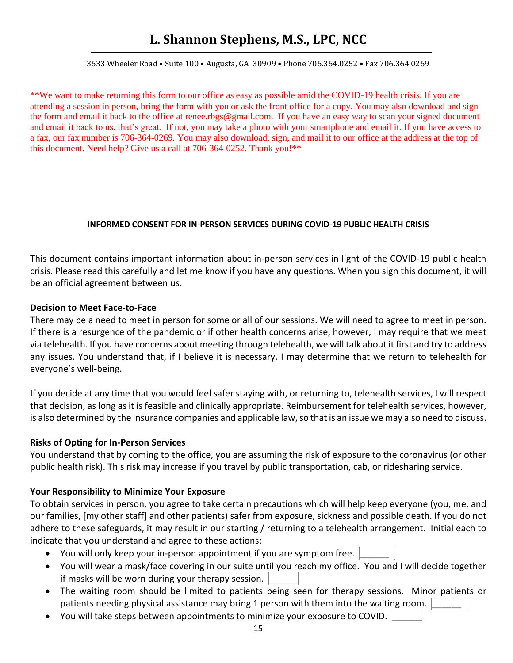3633 Wheeler Road • Suite 100 • Augusta, GA 30909 • Phone 706.364.0252 • Fax 706.364.0269

\*\*We want to make returning this form to our office as easy as possible amid the COVID-19 health crisis. If you are attending a session in person, bring the form with you or ask the front office for a copy. You may also download and sign the form and email it back to the office at [renee.rbgs@gmail.com.](about:blank) If you have an easy way to scan your signed document and email it back to us, that's great. If not, you may take a photo with your smartphone and email it. If you have access to a fax, our fax number is 706-364-0269. You may also download, sign, and mail it to our office at the address at the top of this document. Need help? Give us a call at 706-364-0252. Thank you!\*\*

#### **INFORMED CONSENT FOR IN-PERSON SERVICES DURING COVID-19 PUBLIC HEALTH CRISIS**

This document contains important information about in-person services in light of the COVID-19 public health crisis. Please read this carefully and let me know if you have any questions. When you sign this document, it will be an official agreement between us.

#### **Decision to Meet Face-to-Face**

There may be a need to meet in person for some or all of our sessions. We will need to agree to meet in person. If there is a resurgence of the pandemic or if other health concerns arise, however, I may require that we meet via telehealth. If you have concerns about meeting through telehealth, we will talk about it first and try to address any issues. You understand that, if I believe it is necessary, I may determine that we return to telehealth for everyone's well-being.

If you decide at any time that you would feel safer staying with, or returning to, telehealth services, I will respect that decision, as long as it is feasible and clinically appropriate. Reimbursement for telehealth services, however, is also determined by the insurance companies and applicable law, so that is an issue we may also need to discuss.

### **Risks of Opting for In-Person Services**

You understand that by coming to the office, you are assuming the risk of exposure to the coronavirus (or other public health risk). This risk may increase if you travel by public transportation, cab, or ridesharing service.

### **Your Responsibility to Minimize Your Exposure**

To obtain services in person, you agree to take certain precautions which will help keep everyone (you, me, and our families, [my other staff] and other patients) safer from exposure, sickness and possible death. If you do not adhere to these safeguards, it may result in our starting / returning to a telehealth arrangement. Initial each to indicate that you understand and agree to these actions:

- You will only keep your in-person appointment if you are symptom free.
- You will wear a mask/face covering in our suite until you reach my office. You and I will decide together if masks will be worn during your therapy session.
- The waiting room should be limited to patients being seen for therapy sessions. Minor patients or patients needing physical assistance may bring 1 person with them into the waiting room.
- You will take steps between appointments to minimize your exposure to COVID. \_\_\_\_\_\_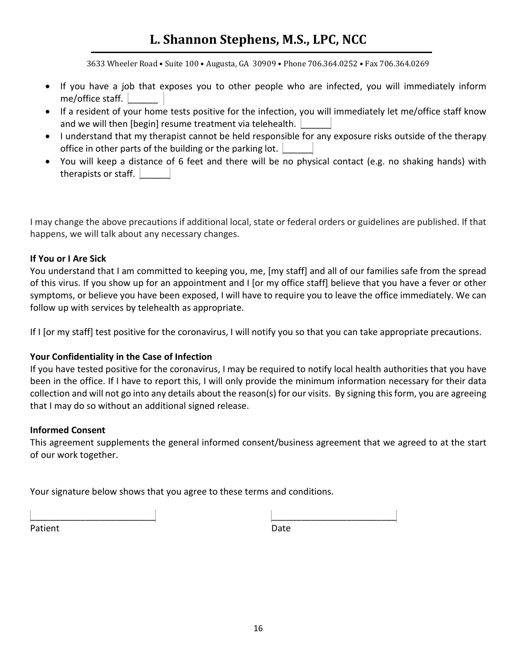3633 Wheeler Road • Suite 100 • Augusta, GA 30909 • Phone 706.364.0252 • Fax 706.364.0269

- If you have a job that exposes you to other people who are infected, you will immediately inform me/office staff.  $\vert$
- If a resident of your home tests positive for the infection, you will immediately let me/office staff know and we will then [begin] resume treatment via telehealth.
- I understand that my therapist cannot be held responsible for any exposure risks outside of the therapy office in other parts of the building or the parking lot.  $\vert$
- You will keep a distance of 6 feet and there will be no physical contact (e.g. no shaking hands) with therapists or staff.  $\vert$

I may change the above precautions if additional local, state or federal orders or guidelines are published. If that happens, we will talk about any necessary changes.

### **If You or I Are Sick**

You understand that I am committed to keeping you, me, [my staff] and all of our families safe from the spread of this virus. If you show up for an appointment and I [or my office staff] believe that you have a fever or other symptoms, or believe you have been exposed, I will have to require you to leave the office immediately. We can follow up with services by telehealth as appropriate.

If I [or my staff] test positive for the coronavirus, I will notify you so that you can take appropriate precautions.

### **Your Confidentiality in the Case of Infection**

If you have tested positive for the coronavirus, I may be required to notify local health authorities that you have been in the office. If I have to report this, I will only provide the minimum information necessary for their data collection and will not go into any details about the reason(s) for our visits. By signing this form, you are agreeing that I may do so without an additional signed release.

### **Informed Consent**

This agreement supplements the general informed consent/business agreement that we agreed to at the start of our work together.

Your signature below shows that you agree to these terms and conditions.

\_\_\_\_\_\_\_\_\_\_\_\_\_\_\_\_\_\_\_\_\_\_\_\_\_ \_\_\_\_\_\_\_\_\_\_\_\_\_\_\_\_\_\_\_\_\_\_\_\_\_ Patient Date Date Communications and Date Date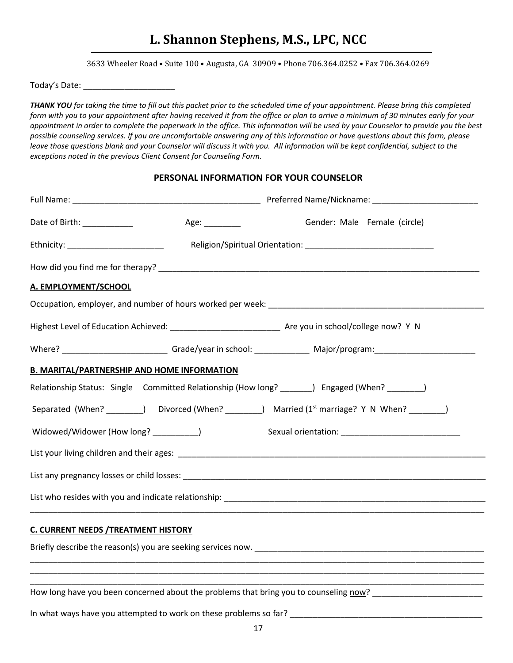3633 Wheeler Road • Suite 100 • Augusta, GA 30909 • Phone 706.364.0252 • Fax 706.364.0269

Today's Date: \_\_\_\_\_\_\_\_\_\_\_\_\_\_\_\_\_\_\_\_

*THANK YOU for taking the time to fill out this packet prior to the scheduled time of your appointment. Please bring this completed form with you to your appointment after having received it from the office or plan to arrive a minimum of 30 minutes early for your appointment in order to complete the paperwork in the office. This information will be used by your Counselor to provide you the best possible counseling services. If you are uncomfortable answering any of this information or have questions about this form, please leave those questions blank and your Counselor will discuss it with you. All information will be kept confidential, subject to the exceptions noted in the previous Client Consent for Counseling Form.* 

#### **PERSONAL INFORMATION FOR YOUR COUNSELOR**

| Date of Birth: ____________                 | Age: __________                                    | Gender: Male Female (circle)                                                                               |
|---------------------------------------------|----------------------------------------------------|------------------------------------------------------------------------------------------------------------|
|                                             |                                                    | Ethnicity: __________________________ Religion/Spiritual Orientation: _____________________________        |
|                                             |                                                    |                                                                                                            |
| A. EMPLOYMENT/SCHOOL                        |                                                    |                                                                                                            |
|                                             |                                                    |                                                                                                            |
|                                             |                                                    |                                                                                                            |
|                                             |                                                    |                                                                                                            |
|                                             | <b>B. MARITAL/PARTNERSHIP AND HOME INFORMATION</b> |                                                                                                            |
|                                             |                                                    | Relationship Status: Single Committed Relationship (How long? _______) Engaged (When? _______)             |
|                                             |                                                    | Separated (When? ________) Divorced (When? ________) Married (1 <sup>st</sup> marriage? Y N When? _______) |
| Widowed/Widower (How long? _________)       |                                                    |                                                                                                            |
|                                             |                                                    |                                                                                                            |
|                                             |                                                    |                                                                                                            |
|                                             |                                                    |                                                                                                            |
| <b>C. CURRENT NEEDS / TREATMENT HISTORY</b> |                                                    |                                                                                                            |
|                                             |                                                    |                                                                                                            |
|                                             |                                                    |                                                                                                            |
|                                             |                                                    | How long have you been concerned about the problems that bring you to counseling now?                      |
|                                             |                                                    |                                                                                                            |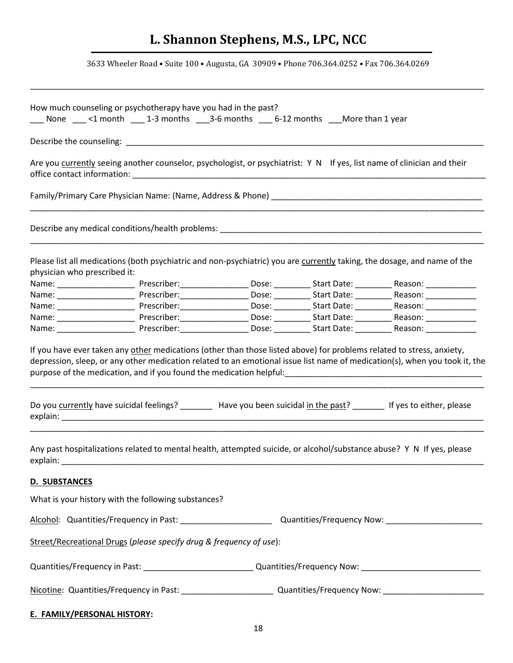3633 Wheeler Road • Suite 100 • Augusta, GA 30909 • Phone 706.364.0252 • Fax 706.364.0269

\_\_\_\_\_\_\_\_\_\_\_\_\_\_\_\_\_\_\_\_\_\_\_\_\_\_\_\_\_\_\_\_\_\_\_\_\_\_\_\_\_\_\_\_\_\_\_\_\_\_\_\_\_\_\_\_\_\_\_\_\_\_\_\_\_\_\_\_\_\_\_\_\_\_\_\_\_\_\_\_\_\_\_\_\_\_\_\_\_\_\_\_\_\_\_\_\_\_\_

|                                    | How much counseling or psychotherapy have you had in the past?      |  | $\_\_\_$ None $\_\_\_$ <1 month $\_\_\_$ 1-3 months $\_\_\_$ 3-6 months $\_\_\_$ 6-12 months $\_\_\_$ More than 1 year |                                                                                                                                                                                                                                                                      |
|------------------------------------|---------------------------------------------------------------------|--|------------------------------------------------------------------------------------------------------------------------|----------------------------------------------------------------------------------------------------------------------------------------------------------------------------------------------------------------------------------------------------------------------|
|                                    |                                                                     |  |                                                                                                                        |                                                                                                                                                                                                                                                                      |
|                                    |                                                                     |  |                                                                                                                        | Are you currently seeing another counselor, psychologist, or psychiatrist: Y N If yes, list name of clinician and their                                                                                                                                              |
|                                    |                                                                     |  |                                                                                                                        |                                                                                                                                                                                                                                                                      |
|                                    |                                                                     |  |                                                                                                                        |                                                                                                                                                                                                                                                                      |
| physician who prescribed it:       |                                                                     |  |                                                                                                                        | Please list all medications (both psychiatric and non-psychiatric) you are currently taking, the dosage, and name of the                                                                                                                                             |
|                                    |                                                                     |  |                                                                                                                        |                                                                                                                                                                                                                                                                      |
|                                    |                                                                     |  |                                                                                                                        | Name: ___________________________Prescriber: ____________________Dose: ____________Start Date: ______________Reason: _________________                                                                                                                               |
|                                    |                                                                     |  |                                                                                                                        |                                                                                                                                                                                                                                                                      |
|                                    |                                                                     |  |                                                                                                                        | Name: ___________________________Prescriber: ____________________Dose: ____________Start Date: ______________Reason: _________________                                                                                                                               |
|                                    |                                                                     |  |                                                                                                                        |                                                                                                                                                                                                                                                                      |
|                                    |                                                                     |  |                                                                                                                        | purpose of the medication, and if you found the medication helpful:<br>manager and the medication, and if you found the medication helpful:<br>Do you currently have suicidal feelings? ________ Have you been suicidal in the past? ______ If yes to either, please |
|                                    |                                                                     |  |                                                                                                                        | Any past hospitalizations related to mental health, attempted suicide, or alcohol/substance abuse? Y N If yes, please                                                                                                                                                |
| D. SUBSTANCES                      |                                                                     |  |                                                                                                                        |                                                                                                                                                                                                                                                                      |
|                                    | What is your history with the following substances?                 |  |                                                                                                                        |                                                                                                                                                                                                                                                                      |
|                                    |                                                                     |  |                                                                                                                        |                                                                                                                                                                                                                                                                      |
|                                    | Street/Recreational Drugs (please specify drug & frequency of use): |  |                                                                                                                        |                                                                                                                                                                                                                                                                      |
|                                    |                                                                     |  |                                                                                                                        | Quantities/Frequency in Past: _____________________________Quantities/Frequency Now: _________________________                                                                                                                                                       |
|                                    |                                                                     |  |                                                                                                                        |                                                                                                                                                                                                                                                                      |
| <b>E. FAMILY/PERSONAL HISTORY:</b> |                                                                     |  |                                                                                                                        |                                                                                                                                                                                                                                                                      |